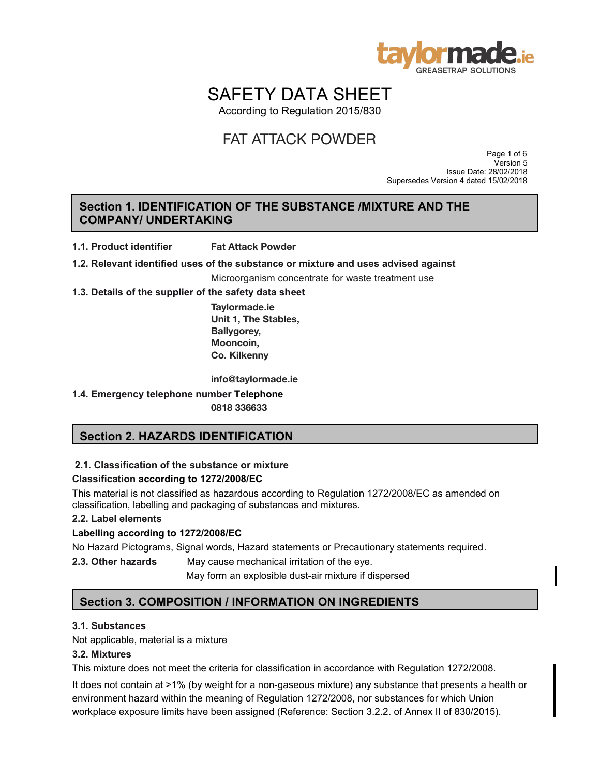

# SAFETY DATA SHEET

According to Regulation 2015/830

 Page 1 of 6 Version 5 Issue Date: 28/02/2018 Supersedes Version 4 dated 15/02/2018

# **Section 1. IDENTIFICATION OF THE SUBSTANCE /MIXTURE AND THE COMPANY/ UNDERTAKING**

**1.1. Product identifier**  $\frac{1}{2}$ . In the substantial of  $\frac{1}{2}$  of  $\frac{1}{2}$  and  $\frac{1}{2}$  and  $\frac{1}{2}$  and  $\frac{1}{2}$  and  $\frac{1}{2}$  and  $\frac{1}{2}$  and  $\frac{1}{2}$  and  $\frac{1}{2}$  and  $\frac{1}{2}$  and  $\frac{1}{2}$  and  $\frac{1}{2}$  and  $\frac{1}{2}$  and  $\frac{1}{2$ **Fat Attack Powder**

**1.2. Relevant identified uses of the substance or mixture and uses advised against** 

Microorganism concentrate for waste treatment use

**1.3. Details of the supplier of the safety data sheet** 

**Taylormade.ie Unit 1, The Stables, Ballygorey,** Mooncoin, **Co. Kilkenny** FAT ATTACK POWDER<br> **ION OF THE SUBSTANCE /MI**<br> **ING**<br>
Fat Attack Powder<br>
of the substance or mixture and use:<br>
Microorganism concentrate for waste<br>
the safety data sheet<br>
Taylormade.ie<br>
Unit 1, The Stables,<br>
Ballygorey,<br>
M

info@taylormade.ie

**1.4. Emergency telephone number Telephone** 0818 336633

# **Section 2. HAZARDS IDENTIFICATION**

#### **2.1. Classification of the substance or mixture**

#### **Classification according to 1272/2008/EC**

This material is not classified as hazardous according to Regulation 1272/2008/EC as amended on classification, labelling and packaging of substances and mixtures.

#### **2.2. Label elements**

#### **Labelling according to 1272/2008/EC**

No Hazard Pictograms, Signal words, Hazard statements or Precautionary statements required.

**2.3. Other hazards** May cause mechanical irritation of the eye.

May form an explosible dust-air mixture if dispersed

# **Section 3. COMPOSITION / INFORMATION ON INGREDIENTS**

#### **3.1. Substances**

Not applicable, material is a mixture

#### **3.2. Mixtures**

This mixture does not meet the criteria for classification in accordance with Regulation 1272/2008.

It does not contain at >1% (by weight for a non-gaseous mixture) any substance that presents a health or environment hazard within the meaning of Regulation 1272/2008, nor substances for which Union workplace exposure limits have been assigned (Reference: Section 3.2.2. of Annex II of 830/2015).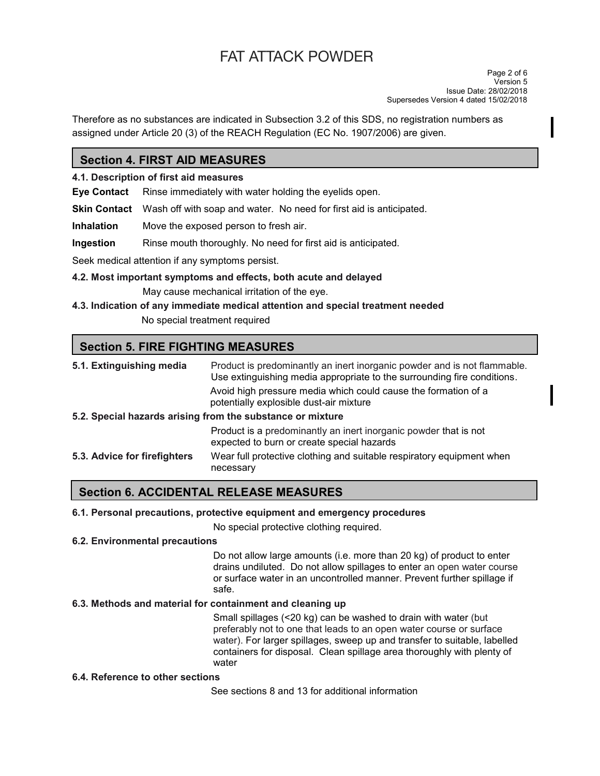Therefore as no substances are indicated in Subsection 3.2 of this SDS, no registration numbers as assigned under Article 20 (3) of the REACH Regulation (EC No. 1907/2006) are given.

# **Section 4. FIRST AID MEASURES**

#### **4.1. Description of first aid measures**

**Eye Contact** Rinse immediately with water holding the eyelids open.

**Skin Contact** Wash off with soap and water. No need for first aid is anticipated.

**Inhalation** Move the exposed person to fresh air.

**Ingestion** Rinse mouth thoroughly. No need for first aid is anticipated.

Seek medical attention if any symptoms persist.

- **4.2. Most important symptoms and effects, both acute and delayed**  May cause mechanical irritation of the eye.
- **4.3. Indication of any immediate medical attention and special treatment needed**

No special treatment required

# **Section 5. FIRE FIGHTING MEASURES**

| 5.1. Extinguishing media     | Product is predominantly an inert inorganic powder and is not flammable.<br>Use extinguishing media appropriate to the surrounding fire conditions. |
|------------------------------|-----------------------------------------------------------------------------------------------------------------------------------------------------|
|                              | Avoid high pressure media which could cause the formation of a<br>potentially explosible dust-air mixture                                           |
|                              | 5.2. Special hazards arising from the substance or mixture                                                                                          |
|                              | Product is a predominantly an inert inorganic powder that is not<br>expected to burn or create special hazards                                      |
| 5.3. Advice for firefighters | Wear full protective clothing and suitable respiratory equipment when<br>necessary                                                                  |

# **Section 6. ACCIDENTAL RELEASE MEASURES**

#### **6.1. Personal precautions, protective equipment and emergency procedures**

No special protective clothing required.

#### **6.2. Environmental precautions**

Do not allow large amounts (i.e. more than 20 kg) of product to enter drains undiluted. Do not allow spillages to enter an open water course or surface water in an uncontrolled manner. Prevent further spillage if safe.

### **6.3. Methods and material for containment and cleaning up**

Small spillages (<20 kg) can be washed to drain with water (but preferably not to one that leads to an open water course or surface water). For larger spillages, sweep up and transfer to suitable, labelled containers for disposal. Clean spillage area thoroughly with plenty of water

#### **6.4. Reference to other sections**

See sections 8 and 13 for additional information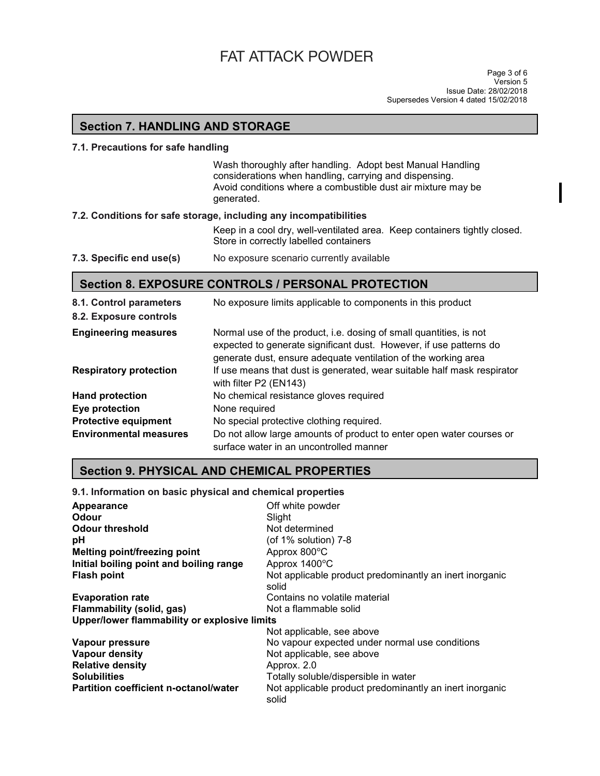# **Section 7. HANDLING AND STORAGE**

#### **7.1. Precautions for safe handling**

Wash thoroughly after handling. Adopt best Manual Handling considerations when handling, carrying and dispensing. Avoid conditions where a combustible dust air mixture may be generated.

#### **7.2. Conditions for safe storage, including any incompatibilities**

Keep in a cool dry, well-ventilated area. Keep containers tightly closed. Store in correctly labelled containers

#### **7.3. Specific end use(s)** No exposure scenario currently available

# **Section 8. EXPOSURE CONTROLS / PERSONAL PROTECTION**

| 8.1. Control parameters       | No exposure limits applicable to components in this product                                                                                                                                                |
|-------------------------------|------------------------------------------------------------------------------------------------------------------------------------------------------------------------------------------------------------|
| 8.2. Exposure controls        |                                                                                                                                                                                                            |
| <b>Engineering measures</b>   | Normal use of the product, i.e. dosing of small quantities, is not<br>expected to generate significant dust. However, if use patterns do<br>generate dust, ensure adequate ventilation of the working area |
| <b>Respiratory protection</b> | If use means that dust is generated, wear suitable half mask respirator<br>with filter P2 (EN143)                                                                                                          |
| <b>Hand protection</b>        | No chemical resistance gloves required                                                                                                                                                                     |
| Eye protection                | None required                                                                                                                                                                                              |
| <b>Protective equipment</b>   | No special protective clothing required.                                                                                                                                                                   |
| <b>Environmental measures</b> | Do not allow large amounts of product to enter open water courses or<br>surface water in an uncontrolled manner                                                                                            |

# **Section 9. PHYSICAL AND CHEMICAL PROPERTIES**

#### **9.1. Information on basic physical and chemical properties**

| Appearance                                   | Off white powder                                                 |
|----------------------------------------------|------------------------------------------------------------------|
| Odour                                        | Slight                                                           |
| <b>Odour threshold</b>                       | Not determined                                                   |
| рH                                           | (of 1% solution) 7-8                                             |
| <b>Melting point/freezing point</b>          | Approx 800°C                                                     |
| Initial boiling point and boiling range      | Approx 1400°C                                                    |
| <b>Flash point</b>                           | Not applicable product predominantly an inert inorganic<br>solid |
| <b>Evaporation rate</b>                      | Contains no volatile material                                    |
| <b>Flammability (solid, gas)</b>             | Not a flammable solid                                            |
| Upper/lower flammability or explosive limits |                                                                  |
|                                              | Not applicable, see above                                        |
| Vapour pressure                              | No vapour expected under normal use conditions                   |
| <b>Vapour density</b>                        | Not applicable, see above                                        |
| <b>Relative density</b>                      | Approx. 2.0                                                      |
| <b>Solubilities</b>                          | Totally soluble/dispersible in water                             |
| <b>Partition coefficient n-octanol/water</b> | Not applicable product predominantly an inert inorganic<br>solid |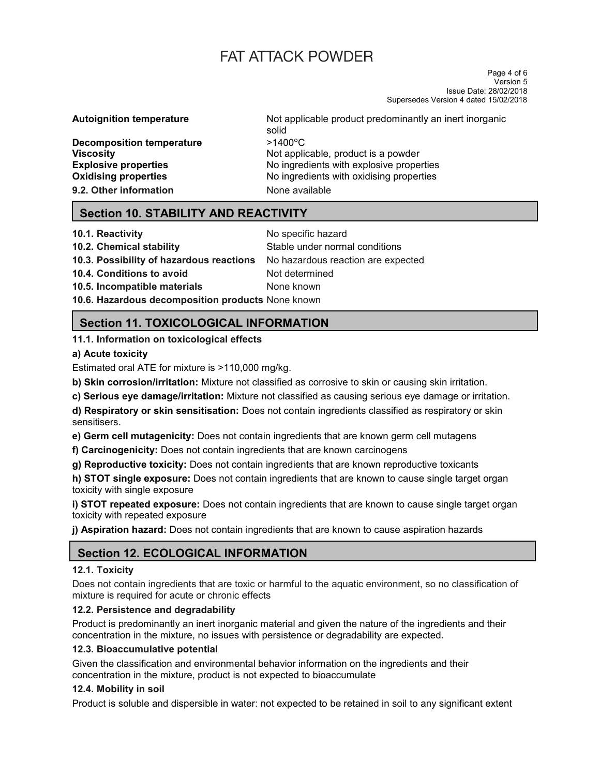Page 4 of 6 Version 5 Issue Date: 28/02/2018 Supersedes Version 4 dated 15/02/2018

**Decomposition temperature**  $\frac{>1400^{\circ}C}{\text{Not a}D}$ **9.2. Other information None available** 

**Autoignition temperature** Not applicable product predominantly an inert inorganic solid **Viscosity** Not applicable, product is a powder **Explosive properties No ingredients with explosive properties Oxidising properties No ingredients with oxidising properties** 

# **Section 10. STABILITY AND REACTIVITY**

**10.1. Reactivity 10.1. Reactivity No specific hazard** 

**10.3. Possibility of hazardous reactions** No hazardous reaction are expected

**10.2. Chemical stability 10.2. Chemical stability** Stable under normal conditions **10.4. Conditions to avoid Mot determined** 

**10.5. Incompatible materials** None known

**10.6. Hazardous decomposition products** None known

# **Section 11. TOXICOLOGICAL INFORMATION**

**11.1. Information on toxicological effects**

# **a) Acute toxicity**

Estimated oral ATE for mixture is >110,000 mg/kg.

**b) Skin corrosion/irritation:** Mixture not classified as corrosive to skin or causing skin irritation.

**c) Serious eye damage/irritation:** Mixture not classified as causing serious eye damage or irritation.

**d) Respiratory or skin sensitisation:** Does not contain ingredients classified as respiratory or skin sensitisers.

**e) Germ cell mutagenicity:** Does not contain ingredients that are known germ cell mutagens

**f) Carcinogenicity:** Does not contain ingredients that are known carcinogens

**g) Reproductive toxicity:** Does not contain ingredients that are known reproductive toxicants

**h) STOT single exposure:** Does not contain ingredients that are known to cause single target organ toxicity with single exposure

**i) STOT repeated exposure:** Does not contain ingredients that are known to cause single target organ toxicity with repeated exposure

**j) Aspiration hazard:** Does not contain ingredients that are known to cause aspiration hazards

# **Section 12. ECOLOGICAL INFORMATION**

#### **12.1. Toxicity**

Does not contain ingredients that are toxic or harmful to the aquatic environment, so no classification of mixture is required for acute or chronic effects

# **12.2. Persistence and degradability**

Product is predominantly an inert inorganic material and given the nature of the ingredients and their concentration in the mixture, no issues with persistence or degradability are expected.

# **12.3. Bioaccumulative potential**

Given the classification and environmental behavior information on the ingredients and their concentration in the mixture, product is not expected to bioaccumulate

#### **12.4. Mobility in soil**

Product is soluble and dispersible in water: not expected to be retained in soil to any significant extent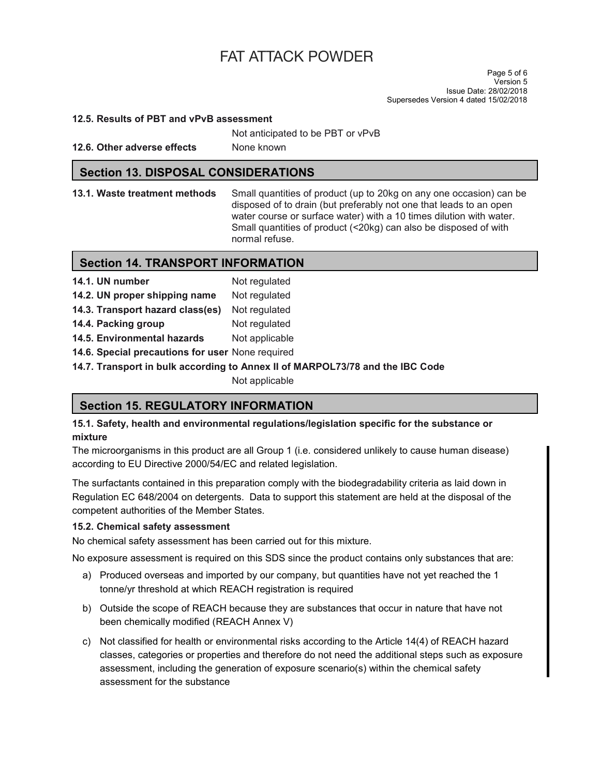Page 5 of 6 Version 5 Issue Date: 28/02/2018 Supersedes Version 4 dated 15/02/2018

#### **12.5. Results of PBT and vPvB assessment**

Not anticipated to be PBT or vPvB

**12.6. Other adverse effects** None known

#### **Section 13. DISPOSAL CONSIDERATIONS**

**13.1. Waste treatment methods** Small quantities of product (up to 20kg on any one occasion) can be disposed of to drain (but preferably not one that leads to an open water course or surface water) with a 10 times dilution with water. Small quantities of product (<20kg) can also be disposed of with normal refuse.

# **Section 14. TRANSPORT INFORMATION**

| 14.1. UN number                                  | Not regulated  |
|--------------------------------------------------|----------------|
| 14.2. UN proper shipping name                    | Not regulated  |
| 14.3. Transport hazard class(es)                 | Not regulated  |
| 14.4. Packing group                              | Not regulated  |
| 14.5. Environmental hazards                      | Not applicable |
| 14.6. Special precautions for user None required |                |

**14.7. Transport in bulk according to Annex II of MARPOL73/78 and the IBC Code** 

Not applicable

# **Section 15. REGULATORY INFORMATION**

**15.1. Safety, health and environmental regulations/legislation specific for the substance or mixture** 

The microorganisms in this product are all Group 1 (i.e. considered unlikely to cause human disease) according to EU Directive 2000/54/EC and related legislation.

The surfactants contained in this preparation comply with the biodegradability criteria as laid down in Regulation EC 648/2004 on detergents. Data to support this statement are held at the disposal of the competent authorities of the Member States.

#### **15.2. Chemical safety assessment**

No chemical safety assessment has been carried out for this mixture.

No exposure assessment is required on this SDS since the product contains only substances that are:

- a) Produced overseas and imported by our company, but quantities have not yet reached the 1 tonne/yr threshold at which REACH registration is required
- b) Outside the scope of REACH because they are substances that occur in nature that have not been chemically modified (REACH Annex V)
- c) Not classified for health or environmental risks according to the Article 14(4) of REACH hazard classes, categories or properties and therefore do not need the additional steps such as exposure assessment, including the generation of exposure scenario(s) within the chemical safety assessment for the substance